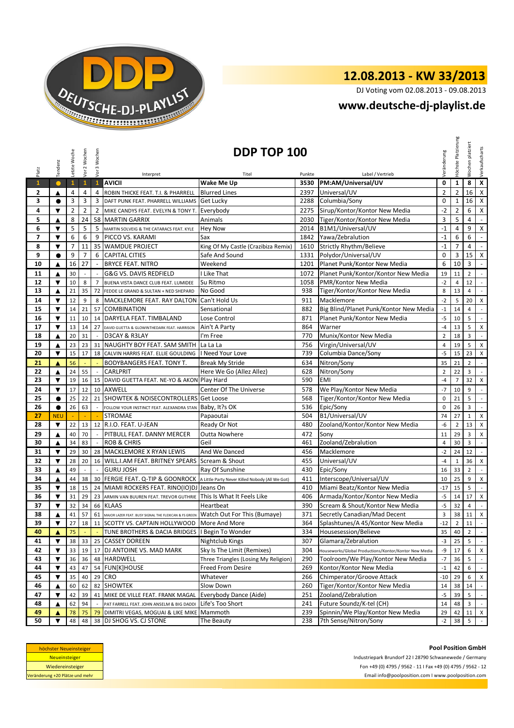

DJ Voting vom 02.08.2013 - 09.08.2013

#### **www.deutsche-dj-playlist.de**

|                                 | Tendenz                                                                                                                                                                                                                                              | Letzte Woche   | Vor 2 Wochen   | Vor 3 Wochen             | <b>DDP TOP 100</b>                                                                   |                                      |        |                                                       |                |                | Wochen platziert        | Verkaufscharts              |
|---------------------------------|------------------------------------------------------------------------------------------------------------------------------------------------------------------------------------------------------------------------------------------------------|----------------|----------------|--------------------------|--------------------------------------------------------------------------------------|--------------------------------------|--------|-------------------------------------------------------|----------------|----------------|-------------------------|-----------------------------|
| Platz                           |                                                                                                                                                                                                                                                      |                |                |                          | Interpret                                                                            | Titel                                | Punkte | Label / Vertrieb                                      | /eränderung    | Höchste        |                         |                             |
| $\mathbf{1}$                    | $\bullet$                                                                                                                                                                                                                                            | $\mathbf{1}$   | $\mathbf{1}$   | $\mathbf{1}$             | <b>AVICII</b>                                                                        | Wake Me Up                           | 3530   | PM:AM/Universal/UV                                    | 0              | $\mathbf{1}$   | 8                       | $\overline{\mathbf{x}}$     |
| 2                               | ▲                                                                                                                                                                                                                                                    | $\overline{4}$ | $\overline{4}$ | $\overline{4}$           | ROBIN THICKE FEAT. T.I. & PHARRELL                                                   | <b>Blurred Lines</b>                 | 2397   | Universal/UV                                          | $\overline{2}$ | $\overline{2}$ | 16                      | $\mathsf X$                 |
| 3                               | $\bullet$                                                                                                                                                                                                                                            | 3              | 3              | 3                        | DAFT PUNK FEAT. PHARRELL WILLIAMS                                                    | <b>Get Lucky</b>                     | 2288   | Columbia/Sony                                         | $\mathbf 0$    | $\mathbf{1}$   | 16                      | $\mathsf{X}$                |
| 4                               | ▼                                                                                                                                                                                                                                                    | $\overline{2}$ | $\overline{2}$ | $\overline{2}$           | MIKE CANDYS FEAT. EVELYN & TONY T.                                                   | Everybody                            | 2275   | Sirup/Kontor/Kontor New Media                         | $-2$           | $\overline{2}$ | 6                       | $\mathsf{X}$                |
| 5                               | ▲                                                                                                                                                                                                                                                    | 8              | 24             |                          | 58 MARTIN GARRIX                                                                     | Animals                              | 2030   | Tiger/Kontor/Kontor New Media                         | 3              | 5              | 4                       | $\omega$                    |
| 6                               | $\blacktriangledown$                                                                                                                                                                                                                                 | 5              | 5              | 5                        | MARTIN SOLVEIG & THE CATARACS FEAT. KYLE                                             | <b>Hey Now</b>                       | 2014   | B1M1/Universal/UV                                     | $-1$           | 4              | 9                       | X                           |
| $\overline{7}$                  | ▼                                                                                                                                                                                                                                                    | 6              | 6              | 9                        | PICCO VS. KARAMI                                                                     | Sax                                  | 1842   | Yawa/Zebralution                                      | $-1$           | 6              | 6                       | $\omega$                    |
| 8                               | $\blacktriangledown$                                                                                                                                                                                                                                 | $\overline{7}$ | 11             |                          | 35 WAMDUE PROJECT                                                                    | King Of My Castle (Crazibiza Remix)  | 1610   | <b>Strictly Rhythm/Believe</b>                        | $-1$           | $\overline{7}$ | 4                       | $\sim$                      |
| 9                               | $\bullet$                                                                                                                                                                                                                                            | 9              | $\overline{7}$ | 6                        | <b>CAPITAL CITIES</b>                                                                | Safe And Sound                       | 1331   | Polydor/Universal/UV                                  | $\pmb{0}$      | 3              | 15                      | $\pmb{\mathsf{X}}$          |
| 10                              | ▲                                                                                                                                                                                                                                                    | 16             | 27             | $\overline{\phantom{a}}$ | <b>BRYCE FEAT. NITRO</b>                                                             | Weekend                              | 1201   | Planet Punk/Kontor New Media                          | 6              | 10             | 3                       | $\sim$                      |
| 11                              | ▲                                                                                                                                                                                                                                                    | 30             |                |                          | G&G VS. DAVIS REDFIELD                                                               | I Like That                          | 1072   | Planet Punk/Kontor/Kontor New Media                   | 19             | 11             | $\overline{2}$          | $\overline{\phantom{a}}$    |
| 12                              | $\blacktriangledown$                                                                                                                                                                                                                                 | 10             | 8              | $\overline{7}$           | BUENA VISTA DANCE CLUB FEAT. LUMIDEE                                                 | Su Ritmo                             | 1058   | PMR/Kontor New Media                                  | $-2$           | $\overline{4}$ | 12                      | $\sim$                      |
| 13                              | ▲                                                                                                                                                                                                                                                    | 21             | 35             | 72                       | FEDDE LE GRAND & SULTAN + NED SHEPARD                                                | No Good                              | 938    | Tiger/Kontor/Kontor New Media                         | 8              | 13             | $\overline{4}$          | $\sim$                      |
| 14                              | ▼                                                                                                                                                                                                                                                    | 12             | 9              | 8                        | MACKLEMORE FEAT. RAY DALTON                                                          | Can't Hold Us                        | 911    | Macklemore                                            | $-2$           | 5              | 20                      | $\mathsf X$                 |
| 15                              | $\blacktriangledown$                                                                                                                                                                                                                                 | 14             | 21             |                          | 57 COMBINATION                                                                       | Sensational                          | 882    | Big Blind/Planet Punk/Kontor New Media                | $-1$           | 14             | 4                       | $\sim$                      |
| 16                              | $\overline{\mathbf{v}}$                                                                                                                                                                                                                              | 11             | 10             |                          | 14 DARYELA FEAT. TIMBALAND                                                           | Lose Control                         | 871    | Planet Punk/Kontor New Media                          | $-5$           | 10             | 5                       | $\sim$                      |
| 17                              | $\blacktriangledown$                                                                                                                                                                                                                                 | 13             | 14             | 27                       | DAVID GUETTA & GLOWINTHEDARK FEAT. HARRISON                                          | Ain't A Party                        | 864    | Warner                                                | $-4$           | 13             | 5                       | $\times$                    |
| 18                              | ▲                                                                                                                                                                                                                                                    | 20             | 31             |                          | D3CAY & R3LAY                                                                        | I'm Free                             | 770    | Munix/Kontor New Media                                | $\overline{2}$ | 18             | 3                       | $\sim$                      |
| 19                              | ▲                                                                                                                                                                                                                                                    | 23             | 23             |                          | 31 NAUGHTY BOY FEAT. SAM SMITH La La La                                              |                                      | 756    | Virgin/Universal/UV                                   | $\overline{4}$ | 19             | 5                       | $\mathsf{x}$                |
| 20                              | ▼                                                                                                                                                                                                                                                    | 15             | 17             |                          | 18 CALVIN HARRIS FEAT. ELLIE GOULDING   Need Your Love                               |                                      | 739    | Columbia Dance/Sony                                   | $-5$           | 15             | 23                      | $\mathsf{x}$                |
| 21                              | ▲                                                                                                                                                                                                                                                    | 56             |                |                          | BODYBANGERS FEAT. TONY T.                                                            | <b>Break My Stride</b>               | 634    | Nitron/Sony                                           | 35             | 21             | $\overline{2}$          | $\sim$                      |
| 22                              | ▲                                                                                                                                                                                                                                                    | 24             | 55             |                          | <b>CARLPRIT</b>                                                                      | Here We Go (Allez Allez)             | 628    | Nitron/Sony                                           | $\mathbf 2$    | 22             | $\overline{\mathbf{3}}$ | $\sim$                      |
| 23                              | ▼                                                                                                                                                                                                                                                    | 19             | 16             |                          | 15 DAVID GUETTA FEAT. NE-YO & AKON Play Hard                                         |                                      | 590    | <b>EMI</b>                                            | $-4$           | $\overline{7}$ | 32                      | $\times$                    |
| 24                              | $\blacktriangledown$                                                                                                                                                                                                                                 | 17             | 12             |                          | 10 AXWELL                                                                            | Center Of The Universe               | 578    | We Play/Kontor New Media                              | $-7$           | 10             | 9                       | $\mathcal{L}_{\mathcal{A}}$ |
| 25                              | $\bullet$                                                                                                                                                                                                                                            | 25             | 22             |                          | 21 SHOWTEK & NOISECONTROLLERS                                                        | <b>Get Loose</b>                     | 568    | Tiger/Kontor/Kontor New Media                         | 0              | 21             | 5                       | $\sim$                      |
| 26                              | $\bullet$                                                                                                                                                                                                                                            | 26             | 63             |                          |                                                                                      | Baby, It?s OK                        | 536    | Epic/Sony                                             | 0              | 26             | 3                       | $\mathbb{L}$                |
| 27                              | <b>NEU</b>                                                                                                                                                                                                                                           |                |                |                          | FOLLOW YOUR INSTINCT FEAT. ALEXANDRA STAN<br><b>STROMAE</b>                          | Papaoutai                            | 504    | B1/Universal/UV                                       | 74             | 27             | $\mathbf{1}$            | $\mathsf{x}$                |
| 28                              | $\blacktriangledown$                                                                                                                                                                                                                                 | 22             | 13             |                          | 12 R.I.O. FEAT. U-JEAN                                                               | Ready Or Not                         | 480    | Zooland/Kontor/Kontor New Media                       | $-6$           | $\overline{2}$ | 13                      | X                           |
| 29                              | ▲                                                                                                                                                                                                                                                    | 40             | 70             | $\sim$                   | PITBULL FEAT. DANNY MERCER                                                           | <b>Outta Nowhere</b>                 | 472    | Sony                                                  | 11             | 29             | $\overline{\mathbf{3}}$ | X                           |
| 30                              | ▲                                                                                                                                                                                                                                                    | 34             | 83             |                          | <b>ROB &amp; CHRIS</b>                                                               | Geil                                 | 461    | Zooland/Zebralution                                   | 4              | 30             | 3                       | $\sim$                      |
| 31                              | ▼                                                                                                                                                                                                                                                    | 29             | 30             |                          | 28 MACKLEMORE X RYAN LEWIS                                                           | And We Danced                        | 456    | Macklemore                                            | $-2$           | 24             | 12                      | $\sim$                      |
| 32                              | $\blacktriangledown$                                                                                                                                                                                                                                 | 28             | 20             |                          | 16 WILL.I.AM FEAT. BRITNEY SPEARS Scream & Shout                                     |                                      | 455    | Universal/UV                                          | $-4$           | $\mathbf{1}$   | 36                      | $\mathsf X$                 |
| 33                              | ▲                                                                                                                                                                                                                                                    | 49             | $\sim$         | $\mathcal{A}$            | <b>GURU JOSH</b>                                                                     | Ray Of Sunshine                      | 430    | Epic/Sony                                             | 16             | 33             | $\overline{2}$          | $\sim$                      |
| 34                              | ▲                                                                                                                                                                                                                                                    | 44             | 38             |                          | 30 FERGIE FEAT. Q-TIP & GOONROCK A Little Party Never Killed Nobody (All We Got)     |                                      | 411    | Interscope/Universal/UV                               | 10             | 25             | 9                       | X                           |
| 35                              | $\blacktriangledown$                                                                                                                                                                                                                                 | 18             | 15             |                          | 24 MIAMI ROCKERS FEAT. RINO(IO)DJ Jeans On                                           |                                      | 410    | Miami Beatz/Kontor New Media                          | $-17$          | 15             | 5                       | $\sim$                      |
| 36                              | $\blacktriangledown$                                                                                                                                                                                                                                 | 31             | 29             |                          | 23 ARMIN VAN BUUREN FEAT. TREVOR GUTHRIE This Is What It Feels Like                  |                                      | 406    | Armada/Kontor/Kontor New Media                        | $-5$           | 14             | 17                      | $\mathsf{X}$                |
| 37                              | $\blacktriangledown$                                                                                                                                                                                                                                 | 32             | 34             |                          | 66 KLAAS                                                                             | Heartbeat                            | 390    | Scream & Shout/Kontor New Media                       | $-5$           | 32             | $\overline{4}$          | $\sim$                      |
| 38                              | ▲                                                                                                                                                                                                                                                    | 41             | 57             |                          | 61 MAJOR LAZER FEAT. BUSY SIGNAL THE FLEXICAN & FS GREEN Watch Out For This (Bumaye) |                                      | 371    | Secretly Canadian/Mad Decent                          | 3              | 38             | $11 \quad X$            |                             |
| 39                              | $\blacktriangledown$                                                                                                                                                                                                                                 | 27             | 18             |                          | 11 SCOTTY VS. CAPTAIN HOLLYWOOD More And More                                        |                                      | 364    | Splashtunes/A 45/Kontor New Media                     | $-12$          | $\overline{2}$ | 11                      | $\sim$                      |
| 40                              | ▲                                                                                                                                                                                                                                                    | 75             |                |                          | TUNE BROTHERS & DACIA BRIDGES   Begin To Wonder                                      |                                      | 334    | Housesession/Believe                                  | 35             | 40             | $\overline{2}$          | $\sim$                      |
| 41                              | $\blacktriangledown$                                                                                                                                                                                                                                 | 38             | 33             | 25                       | <b>CASSEY DOREEN</b>                                                                 | Nightclub Kings                      | 307    | Glamara/Zebralution                                   | $-3$           | 25             | 5                       | $\sim$                      |
| 42                              | $\blacktriangledown$                                                                                                                                                                                                                                 | 33             | 19             |                          | 17 DJ ANTOINE VS. MAD MARK                                                           | Sky Is The Limit (Remixes)           | 304    | Houseworks/Global Productions/Kontor/Kontor New Media | -9             | 17             | 6                       | $\mathsf{x}$                |
| 43                              | ▼                                                                                                                                                                                                                                                    | 36             | 36             | 48                       | <b>HARDWELL</b>                                                                      | Three Triangles (Losing My Religion) | 290    | Toolroom/We Play/Kontor New Media                     | $-7$           | 36             | 5                       | $\mathbb{R}^n$              |
| 44                              | ▼                                                                                                                                                                                                                                                    | 43             | 47             | 54                       | <b>FUN[K]HOUSE</b>                                                                   | Freed From Desire                    | 269    | Kontor/Kontor New Media                               | $-1$           | 42             | 6                       | $\sim$                      |
| 45                              | $\blacktriangledown$                                                                                                                                                                                                                                 | 35             | 40             | 29                       | <b>CRO</b>                                                                           | Whatever                             | 266    | Chimperator/Groove Attack                             | $-10$          | 29             | 6                       | X                           |
| 46                              | ▲                                                                                                                                                                                                                                                    | 60             | 62             | 82                       | <b>SHOWTEK</b>                                                                       | Slow Down                            | 260    | Tiger/Kontor/Kontor New Media                         | 14             | 38             | 14                      | $\sim$                      |
| 47                              | ▼                                                                                                                                                                                                                                                    | 42             | 39             | 41                       | MIKE DE VILLE FEAT. FRANK MAGAL                                                      | Everybody Dance (Aide)               | 251    | Zooland/Zebralution                                   | $-5$           | 39             | 5                       | $\sim$                      |
| 48                              | ▲                                                                                                                                                                                                                                                    | 62             | 94             |                          | PAT FARRELL FEAT. JOHN ANSELM & BIG DADDI                                            | Life's Too Short                     | 241    | Future Soundz/K-tel (CH)                              | 14             | 48             | 3                       | $\sim$                      |
| 49                              | ▲                                                                                                                                                                                                                                                    | 78             | 75             | 79                       | DIMITRI VEGAS, MOGUAI & LIKE MIKE                                                    | Mammoth                              | 239    | Spinnin/We Play/Kontor New Media                      | 29             | 42             | 11                      | $\mathsf{X}$                |
| 50                              | ▼                                                                                                                                                                                                                                                    | 48             | 48             |                          |                                                                                      | The Beauty                           | 238    | 7th Sense/Nitron/Sony                                 | $-2$           | 38             | 5                       | $\sim$                      |
|                                 | 38 DJ SHOG VS. CJ STONE<br><b>Pool Position GmbH</b><br>höchster Neueinsteiger<br><b>Neueinsteiger</b><br>Industriepark Brundorf 22   28790 Schwanewede / Germany<br>Fon +49 (0) 4795 / 9562 - 11   Fax +49 (0) 4795 / 9562 - 12<br>Wiedereinsteiger |                |                |                          |                                                                                      |                                      |        |                                                       |                |                |                         |                             |
| Veränderung +20 Plätze und mehr |                                                                                                                                                                                                                                                      |                |                |                          |                                                                                      |                                      |        | Email info@poolposition.com I www.poolposition.com    |                |                |                         |                             |

| höchster Neueinsteiger          |  |  |  |  |  |  |  |
|---------------------------------|--|--|--|--|--|--|--|
| <b>Neueinsteiger</b>            |  |  |  |  |  |  |  |
| Wiedereinsteiger                |  |  |  |  |  |  |  |
| Veränderung +20 Plätze und mehr |  |  |  |  |  |  |  |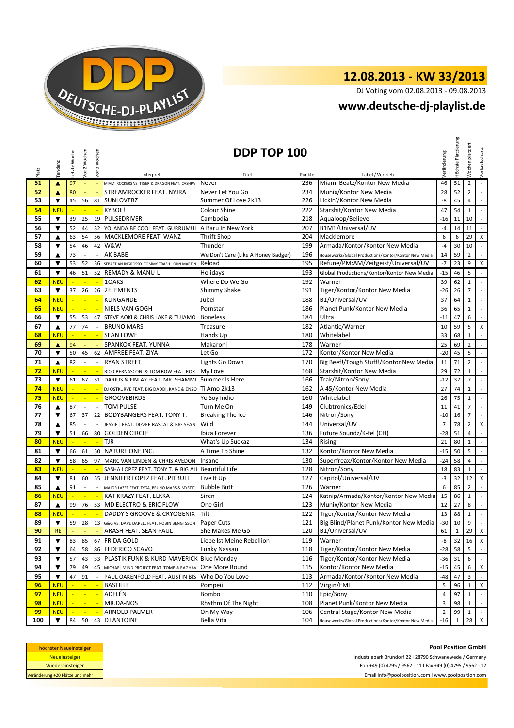

DJ Voting vom 02.08.2013 - 09.08.2013

#### **www.deutsche-dj-playlist.de**

|       | Vor 2 Wochen<br>Vor 3 Wochen<br>DDP TOP 100<br>etzte Woche<br>Tendenz |                                | Veränderung              | Platzierung<br>Höchste     | Wochen platziert                                              | Verkaufscharts                      |                        |                                                       |                |                |                 |                             |
|-------|-----------------------------------------------------------------------|--------------------------------|--------------------------|----------------------------|---------------------------------------------------------------|-------------------------------------|------------------------|-------------------------------------------------------|----------------|----------------|-----------------|-----------------------------|
| Platz |                                                                       |                                |                          |                            | Interpret                                                     | Titel                               | Punkte                 | Label / Vertrieb                                      |                |                |                 |                             |
| 51    | $\blacktriangle$                                                      | 97                             | ÷                        | $\Box$                     | MIAMI ROCKERS VS. TIGER & DRAGON FEAT. CASHPA                 | Never                               | 236                    | Miami Beatz/Kontor New Media                          | 46             | 51             | $\overline{2}$  | $\omega_{\rm c}$            |
| 52    | ▲                                                                     | 80<br>STREAMROCKER FEAT. NYJRA |                          |                            | Never Let You Go                                              | 234                                 | Munix/Kontor New Media | 28                                                    | 52             | $\overline{2}$ | $\sim$          |                             |
| 53    | ▼                                                                     | 45                             | 56                       |                            | 81 SUNLOVERZ                                                  | Summer Of Love 2k13                 | 226                    | Lickin'/Kontor New Media                              | -8             | 45             | $\overline{4}$  | $\sim$                      |
| 54    | <b>NEU</b>                                                            | $\blacksquare$                 | $\overline{\phantom{a}}$ | $\mathbb{Z}$               | KYBOE!                                                        | Colour Shine                        | 222                    | Starshit/Kontor New Media                             | 47             | 54             | $\mathbf{1}$    | $\mathcal{L}_{\mathcal{A}}$ |
| 55    | ▼                                                                     | 39                             | 25                       | 19                         | PULSEDRIVER                                                   | Cambodia                            | 218                    | Aqualoop/Believe                                      | $-16$          | 11             | 10              | $\overline{\phantom{a}}$    |
| 56    | ▼                                                                     | 52                             | 44                       | 32                         | YOLANDA BE COOL FEAT. GURRUMUL A Baru In New York             |                                     | 207                    | B1M1/Universal/UV                                     | $-4$           | 14             | 11              | $\sim$                      |
| 57    | ▲                                                                     | 63                             | 54                       | 56                         | MACKLEMORE FEAT. WANZ                                         | <b>Thrift Shop</b>                  | 204                    | Macklemore                                            | 6              | 6              | 29              | X                           |
| 58    | ▼                                                                     | 54                             | 46                       | 42                         | W&W                                                           | Thunder                             | 199                    | Armada/Kontor/Kontor New Media                        | $-4$           | 30             | 10              | $\sim$                      |
| 59    | ▲                                                                     | 73                             |                          |                            | <b>AK BABE</b>                                                | We Don't Care (Like A Honey Badger) | 196                    | Houseworks/Global Productions/Kontor/Kontor New Media | 14             | 59             | $\overline{2}$  | $\sim$                      |
| 60    | ▼                                                                     | 53                             | 52                       | 36                         | SEBASTIAN INGROSSO, TOMMY TRASH, JOHN MARTIN                  | Reload                              | 195                    | Refune/PM:AM/Zeitgeist/Universal/UV                   | $-7$           | 23             | 9               | $\mathsf{x}$                |
| 61    | $\overline{\mathbf{v}}$                                               | 46                             | 51                       |                            | 52 REMADY & MANU-L                                            | Holidays                            | 193                    | Global Productions/Kontor/Kontor New Media            | $-15$          | 46             | 5               | $\mathbb{R}^{\mathbb{Z}}$   |
| 62    | <b>NEU</b>                                                            |                                |                          |                            | 10AKS                                                         | Where Do We Go                      | 192                    | Warner                                                | 39             | 62             | $\mathbf{1}$    | $\sim$                      |
| 63    | ▼                                                                     | 37                             | 26                       | 26                         | 2ELEMENTS                                                     | Shimmy Shake                        | 191                    | Tiger/Kontor/Kontor New Media                         | $-26$          | 26             | $\overline{7}$  | $\overline{\phantom{a}}$    |
| 64    | <b>NEU</b>                                                            |                                |                          |                            | KLINGANDE                                                     | Jubel                               | 188                    | B1/Universal/UV                                       | 37             | 64             | $\mathbf{1}$    | $\sim$                      |
| 65    | <b>NEU</b>                                                            | u,                             | ÷,                       | ÷,                         | <b>NIELS VAN GOGH</b>                                         | Pornstar                            | 186                    | Planet Punk/Kontor New Media                          | 36             | 65             | $\mathbf{1}$    | $\mathcal{L}_{\mathcal{A}}$ |
| 66    | $\blacktriangledown$                                                  | 55                             | 53                       | 47                         | STEVE AOKI & CHRIS LAKE & TUJAMO                              | <b>Boneless</b>                     | 184                    | Ultra                                                 | $-11$          | 47             | 6               | $\overline{\phantom{a}}$    |
| 67    | ▲                                                                     | 77                             | 74                       |                            | <b>BRUNO MARS</b>                                             | Treasure                            | 182                    | Atlantic/Warner                                       | 10             | 59             | 5               | $\mathsf{X}$                |
| 68    | <b>NEU</b>                                                            |                                |                          | ÷,                         | <b>SEAN LOWE</b>                                              | Hands Up                            | 180                    | Whitelabel                                            | 33             | 68             | $\mathbf{1}$    | $\mathcal{L}$               |
| 69    | $\blacktriangle$                                                      | 94                             |                          |                            | SPANKOX FEAT. YUNNA                                           | Makaroni                            | 178                    | Warner                                                | 25             | 69             | $\overline{2}$  | $\sim$                      |
| 70    | ▼                                                                     | 50                             | 45                       | 62                         | AMFREE FEAT. ZIYA                                             | Let Go                              | 172                    | Kontor/Kontor New Media                               | $-20$          | 45             | 5               | $\sim$                      |
| 71    | ▲                                                                     | 82                             |                          |                            | <b>RYAN STREET</b>                                            | Lights Go Down                      | 170                    | Big Beef!/Tough Stuff!/Kontor New Media               | 11             | 71             | $\overline{2}$  | $\sim$                      |
| 72    | <b>NEU</b>                                                            | u                              | ÷                        |                            | RICO BERNASCONI & TOM BOW FEAT. ROX                           | My Love                             | 168                    | Starshit/Kontor New Media                             | 29             | 72             | $\mathbf{1}$    | $\mathcal{L}_{\mathcal{A}}$ |
| 73    | $\blacktriangledown$                                                  | 61                             | 67                       | 51                         | DARIUS & FINLAY FEAT. MR. SHAMMI                              | Summer Is Here                      | 166                    | Trak/Nitron/Sony                                      | $-12$          | 37             | $7\overline{ }$ | $\sim$                      |
| 74    | <b>NEU</b>                                                            |                                | ÷                        | ÷.                         | DJ OSTKURVE FEAT. BIG DADDI, KANE & ENZO                      | Ti Amo 2k13                         | 162                    | A 45/Kontor New Media                                 | 27             | 74             | $\mathbf{1}$    | $\sim$                      |
| 75    | <b>NEU</b>                                                            |                                |                          |                            | <b>GROOVEBIRDS</b>                                            | Yo Soy Indio                        | 160                    | Whitelabel                                            | 26             | 75             | $\mathbf{1}$    | $\sim$                      |
| 76    | ▲                                                                     | 87                             | $\overline{\phantom{a}}$ |                            | <b>TOM PULSE</b>                                              | Turn Me On                          | 149                    | Clubtronics/Edel                                      | 11             | 41             | $\overline{7}$  | $\sim$                      |
| 77    | ▼                                                                     | 67                             | 37                       | 22                         | <b>BODYBANGERS FEAT. TONY T.</b>                              | Breaking The Ice                    | 146                    | Nitron/Sony                                           | $-10$          | 16             | $\overline{7}$  | $\sim$                      |
| 78    | ▲                                                                     | 85                             |                          |                            | JESSIE J FEAT. DIZZEE RASCAL & BIG SEAN                       | Wild                                | 144                    | Universal/UV                                          | $\overline{7}$ | 78             | $\overline{2}$  | $\times$                    |
| 79    | ▼                                                                     | 51                             | 66                       | 80                         | <b>GOLDEN CIRCLE</b>                                          | Ibiza Forever                       | 136                    | Future Soundz/K-tel (CH)                              | $-28$          | 51             | $\overline{4}$  | $\mathcal{L}^{\pm}$         |
| 80    | <b>NEU</b>                                                            |                                |                          |                            | TJR                                                           | What's Up Suckaz                    | 134                    | <b>Rising</b>                                         | 21             | 80             | $\mathbf{1}$    | $\sim$                      |
| 81    | $\blacktriangledown$                                                  | 66                             | 61                       | 50                         | <b>NATURE ONE INC.</b>                                        | A Time To Shine                     | 132                    | Kontor/Kontor New Media                               | $-15$          | 50             | 5               | $\mathbb{R}^2$              |
| 82    | $\blacktriangledown$                                                  | 58                             | 65                       | 97                         | MARC VAN LINDEN & CHRIS AVEDON                                | Insane                              | 130                    | Superfreax/Kontor/Kontor New Media                    | -24            | 58             | $\overline{4}$  | $\sim$                      |
| 83    | <b>NEU</b>                                                            |                                |                          |                            | SASHA LOPEZ FEAT. TONY T. & BIG ALI                           | <b>Beautiful Life</b>               | 128                    | Nitron/Sony                                           | 18             | 83             | $\mathbf{1}$    | $\mathcal{L}_{\mathcal{A}}$ |
| 84    | ▼                                                                     | 81                             | 60                       | 55                         | JENNIFER LOPEZ FEAT. PITBULL                                  | Live It Up                          | 127                    | Capitol/Universal/UV                                  | $-3$           | 32             | 12              | $\mathsf X$                 |
| 85    | ▲                                                                     | 91                             |                          |                            | MAJOR LAZER FEAT. TYGA, BRUNO MARS & MYSTIC                   | <b>Bubble Butt</b>                  | 126                    | Warner                                                | 6              | 85             | $\overline{2}$  | $\sim$                      |
| 86    | <b>NEU</b>                                                            | ÷,                             | ÷,                       | ×.                         | KAT KRAZY FEAT. ELKKA                                         | Siren                               | 124                    | Katnip/Armada/Kontor/Kontor New Media                 | 15             | 86             | $\mathbf{1}$    | $\mathcal{L}^{\mathcal{A}}$ |
| 87    | ▲                                                                     | 99                             | 76                       |                            | 53 MD ELECTRO & ERIC FLOW                                     | One Girl                            | 123                    | Munix/Kontor New Media                                | 12             | 27             | 8               | $\sim$                      |
| 88    | <b>NEU</b>                                                            | $\mathbb{Z}^2$                 | $\mathbb{Z}$             | $\mathcal{L}_{\mathbf{m}}$ | DADDY'S GROOVE & CRYOGENIX                                    | Tilt                                | 122                    | Tiger/Kontor/Kontor New Media                         | 13             | 88             | $\mathbf{1}$    | $\sim$                      |
| 89    | $\blacktriangledown$                                                  |                                |                          |                            | 59 28 13 G&G VS. DAVE DARELL FEAT. ROBIN BENGTSSON Paper Cuts |                                     |                        | 121 Big Blind/Planet Punk/Kontor New Media -30 10     |                |                | $9 -$           |                             |
| 90    | <b>RE</b>                                                             |                                |                          |                            | ARASH FEAT. SEAN PAUL                                         | She Makes Me Go                     | 120                    | B1/Universal/UV                                       | 61             | $\mathbf{1}$   | 29              | $\mathsf{X}$                |
| 91    | ▼                                                                     | 83                             | 85                       |                            | 67 FRIDA GOLD                                                 | Liebe Ist Meine Rebellion           | 119                    | Warner                                                | -8             | 32             | 16 X            |                             |
| 92    | ▼                                                                     | 64                             | 58                       |                            | 86 FEDERICO SCAVO                                             | <b>Funky Nassau</b>                 | 118                    | Tiger/Kontor/Kontor New Media                         | -28            | 58             | 5               | $\sim$                      |
| 93    | ▼                                                                     | 57                             | 43                       |                            | 33 PLASTIK FUNK & KURD MAVERICK Blue Monday                   |                                     | 116                    | Tiger/Kontor/Kontor New Media                         | -36            | 31             | 6               | $\sim$                      |
| 94    | $\blacktriangledown$                                                  | 79                             | 49                       | 45                         | MICHAEL MIND PROJECT FEAT. TOME & RAGHAV                      | One More Round                      | 115                    | Kontor/Kontor New Media                               | $-15$          | 45             | 6               | X                           |
| 95    | ▼                                                                     | 47                             | 91                       |                            | PAUL OAKENFOLD FEAT. AUSTIN BIS                               | Who Do You Love                     | 113                    | Armada/Kontor/Kontor New Media                        | -48            | 47             | 3               | $\sim$                      |
| 96    | <b>NEU</b>                                                            |                                |                          |                            | <b>BASTILLE</b>                                               | Pompeii                             | 112                    | Virgin/EMI                                            | 5              | 96             | $\mathbf{1}$    | $\mathsf{X}$                |
| 97    | <b>NEU</b>                                                            | ÷                              | ÷.                       | ÷,                         | ADELÉN                                                        | Bombo                               | 110                    | Epic/Sony                                             | 4              | 97             | 1               | $\sim$                      |
| 98    | <b>NEU</b>                                                            |                                | $\equiv$                 |                            | MR.DA-NOS                                                     | Rhythm Of The Night                 | 108                    | Planet Punk/Kontor New Media                          | 3              | 98             | $\mathbf{1}$    | $\sim$                      |
| 99    | <b>NEU</b>                                                            |                                |                          |                            | ARNOLD PALMER                                                 | On My Way                           | 106                    | Central Stage/Kontor New Media                        | $\overline{2}$ | 99             | $\mathbf{1}$    | $\sim$                      |
| 100   | ▼                                                                     | 84                             | 50                       | 43                         | <b>DJ ANTOINE</b>                                             | Bella Vita                          | 104                    | Houseworks/Global Productions/Kontor/Kontor New Media | $-16$          | 1              | 28 X            |                             |

| höchster Neueinsteiger          |  |  |  |  |  |  |  |
|---------------------------------|--|--|--|--|--|--|--|
| <b>Neueinsteiger</b>            |  |  |  |  |  |  |  |
| Wiedereinsteiger                |  |  |  |  |  |  |  |
| Veränderung +20 Plätze und mehr |  |  |  |  |  |  |  |

Email info@poolposition.com I www.poolposition.com **Pool Position GmbH** Industriepark Brundorf 22 I 28790 Schwanewede / Germany Fon +49 (0) 4795 / 9562 - 11 I Fax +49 (0) 4795 / 9562 - 12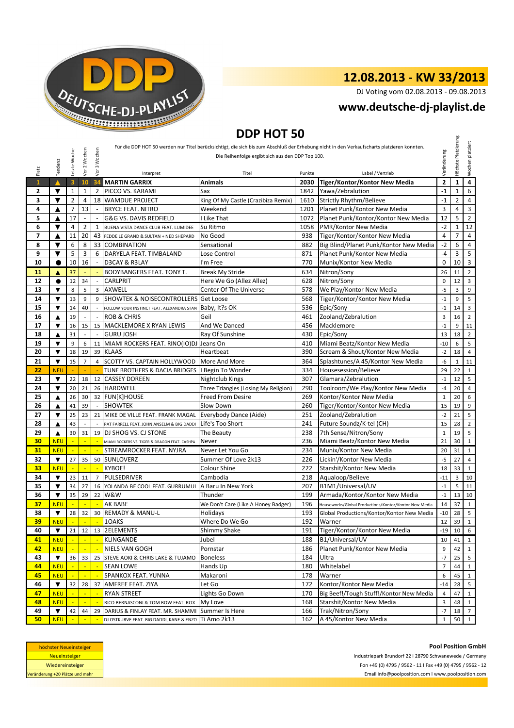

DJ Voting vom 02.08.2013 - 09.08.2013

#### **www.deutsche-dj-playlist.de**

### **DDP HOT 50**

|                                                                                                                                                                                                                                                |                         |                         |                            |                            |                                                      | <b>DUP HUI 50</b>                    |           |                                                       |                |                |                |
|------------------------------------------------------------------------------------------------------------------------------------------------------------------------------------------------------------------------------------------------|-------------------------|-------------------------|----------------------------|----------------------------|------------------------------------------------------|--------------------------------------|-----------|-------------------------------------------------------|----------------|----------------|----------------|
| Für die DDP HOT 50 werden nur Titel berücksichtigt, die sich bis zum Abschluß der Erhebung nicht in den Verkaufscharts platzieren konnten.<br>Vor 2 Wochen<br>Vor 3 Wochen<br>Letzte Woche<br>Die Reihenfolge ergibt sich aus den DDP Top 100. |                         |                         |                            |                            | Veränderung                                          | Platzierung                          | platziert |                                                       |                |                |                |
| Platz                                                                                                                                                                                                                                          | Tendenz                 |                         |                            |                            | Interpret                                            | Titel                                | Punkte    | Label / Vertrieb                                      |                | Höchste        | Wochen         |
| $\mathbf{1}$                                                                                                                                                                                                                                   |                         | $\overline{\mathbf{3}}$ | 10                         | 34                         | <b>MARTIN GARRIX</b>                                 | Animals                              | 2030      | Tiger/Kontor/Kontor New Media                         | $\mathbf{2}$   | $\mathbf{1}$   | 4              |
| 2                                                                                                                                                                                                                                              | ▼                       | 1                       | 1                          | 2                          | PICCO VS. KARAMI                                     | Sax                                  | 1842      | Yawa/Zebralution                                      | $-1$           | $\mathbf{1}$   | 6              |
| 3                                                                                                                                                                                                                                              | $\blacktriangledown$    | $\overline{2}$          | 4                          |                            | 18 WAMDUE PROJECT                                    | King Of My Castle (Crazibiza Remix)  | 1610      | Strictly Rhythm/Believe                               | $-1$           | $\overline{2}$ | $\overline{4}$ |
| 4                                                                                                                                                                                                                                              | ▲                       | $\overline{7}$          | 13                         | $\omega$                   | <b>BRYCE FEAT. NITRO</b>                             | Weekend                              | 1201      | Planet Punk/Kontor New Media                          | 3              | $\overline{4}$ | 3              |
| 5                                                                                                                                                                                                                                              | ▲                       | 17                      |                            |                            | G&G VS. DAVIS REDFIELD                               | I Like That                          | 1072      | Planet Punk/Kontor/Kontor New Media                   | 12             | 5              | $\overline{2}$ |
| 6                                                                                                                                                                                                                                              | ▼                       | 4                       | 2                          | 1                          | BUENA VISTA DANCE CLUB FEAT. LUMIDEE                 | Su Ritmo                             | 1058      | PMR/Kontor New Media                                  | $-2$           | $\mathbf{1}$   | 12             |
| $\overline{ }$                                                                                                                                                                                                                                 | ▲                       | 11                      | 20                         | 43                         | FEDDE LE GRAND & SULTAN + NED SHEPARD                | No Good                              | 938       | Tiger/Kontor/Kontor New Media                         | 4              | $\overline{7}$ | 4              |
|                                                                                                                                                                                                                                                | ▼                       | 6                       | 8                          | 33                         | <b>COMBINATION</b>                                   | Sensational                          | 882       | Big Blind/Planet Punk/Kontor New Media                | $-2$           | 6              | 4              |
| 9                                                                                                                                                                                                                                              | ▼                       | 5                       | 3                          | 6                          | DARYELA FEAT. TIMBALAND                              | Lose Control                         | 871       | Planet Punk/Kontor New Media                          | $-4$           | 3              | 5              |
| 10                                                                                                                                                                                                                                             | 0                       | 10                      | 16                         |                            | D3CAY & R3LAY                                        | I'm Free                             | 770       | Munix/Kontor New Media                                | 0              | 10             | $\overline{3}$ |
| 11                                                                                                                                                                                                                                             | ▲                       | 37                      |                            |                            | BODYBANGERS FEAT. TONY T.                            | <b>Break My Stride</b>               | 634       | Nitron/Sony                                           | 26             | 11             | $\overline{2}$ |
| 12                                                                                                                                                                                                                                             | $\bullet$               | 12                      | 34                         |                            | CARLPRIT                                             | Here We Go (Allez Allez)             | 628       | Nitron/Sony                                           | $\pmb{0}$      | 12             | 3              |
| 13                                                                                                                                                                                                                                             | ▼                       | 8                       | 5                          | 3                          | <b>AXWELL</b>                                        | Center Of The Universe               | 578       | We Play/Kontor New Media                              | $-5$           | 3              | 9              |
| 14                                                                                                                                                                                                                                             | $\overline{\textbf{v}}$ | 13                      | 9                          | 9                          | <b>SHOWTEK &amp; NOISECONTROLLERS Get Loose</b>      |                                      | 568       | Tiger/Kontor/Kontor New Media                         | $-1$           | 9              | 5              |
| 15                                                                                                                                                                                                                                             | $\blacktriangledown$    | 14                      | 40                         | $\sim$                     | FOLLOW YOUR INSTINCT FEAT. ALEXANDRA STAN            | Baby, It?s OK                        | 536       | Epic/Sony                                             | $-1$           | 14             | 3              |
| 16                                                                                                                                                                                                                                             | ▲                       | 19                      |                            | $\overline{a}$             | <b>ROB &amp; CHRIS</b>                               | Geil                                 | 461       | Zooland/Zebralution                                   | 3              | 16             | $\overline{2}$ |
| 17                                                                                                                                                                                                                                             | ▼                       | 16                      | 15                         |                            | 15 MACKLEMORE X RYAN LEWIS                           | And We Danced                        | 456       | Macklemore                                            | $-1$           | 9              | 11             |
| 18                                                                                                                                                                                                                                             | ▲                       | 31                      |                            |                            | <b>GURU JOSH</b>                                     | Ray Of Sunshine                      | 430       | Epic/Sony                                             | 13             | 18             | $\overline{2}$ |
| 19                                                                                                                                                                                                                                             | ▼                       | 9                       | 6                          | 11                         | MIAMI ROCKERS FEAT. RINO(IO)DJ Jeans On              |                                      | 410       | Miami Beatz/Kontor New Media                          | $-10$          | 6              | 5              |
| 20                                                                                                                                                                                                                                             | ▼                       | 18                      | 19                         |                            | 39 KLAAS                                             | Heartbeat                            | 390       | Scream & Shout/Kontor New Media                       | $-2$           | 18             | $\overline{4}$ |
| 21                                                                                                                                                                                                                                             | ▼                       | 15                      | $\overline{7}$             | $\overline{4}$             | SCOTTY VS. CAPTAIN HOLLYWOOD                         | More And More                        | 364       | Splashtunes/A 45/Kontor New Media                     | -6             | $\mathbf{1}$   | 11             |
|                                                                                                                                                                                                                                                | <b>NEU</b>              |                         |                            |                            | TUNE BROTHERS & DACIA BRIDGES                        | I Begin To Wonder                    | 334       | Housesession/Believe                                  | 29             | 22             | $\mathbf{1}$   |
|                                                                                                                                                                                                                                                | ▼                       | 22                      | 18                         |                            | 12 CASSEY DOREEN                                     | Nightclub Kings                      | 307       | Glamara/Zebralution                                   | $-1$           | 12             |                |
| 24                                                                                                                                                                                                                                             | $\blacktriangledown$    | 20                      | 21                         |                            | 26 HARDWELL                                          | Three Triangles (Losing My Religion) | 290       | Toolroom/We Play/Kontor New Media                     | $-4$           | 20             |                |
| 25                                                                                                                                                                                                                                             | ▲                       | 26                      | 30                         |                            | 32 FUN[K]HOUSE                                       | <b>Freed From Desire</b>             | 269       | Kontor/Kontor New Media                               | $1\,$          | 20             |                |
| 26                                                                                                                                                                                                                                             | ▲                       | 41                      | 39                         | $\sim$                     | <b>SHOWTEK</b>                                       | Slow Down                            | 260       | Tiger/Kontor/Kontor New Media                         | 15             | 19             |                |
| 27                                                                                                                                                                                                                                             | ▼                       | 25                      | 23                         | 21                         | MIKE DE VILLE FEAT. FRANK MAGAL                      | Everybody Dance (Aide)               | 251       | Zooland/Zebralution                                   | $-2$           | 21             |                |
| 28                                                                                                                                                                                                                                             | ▲                       | 43                      |                            |                            | PAT FARRELL FEAT. JOHN ANSELM & BIG DADDI            | Life's Too Short                     | 241       | Future Soundz/K-tel (CH)                              | 15             | 28             | $\overline{2}$ |
| 29                                                                                                                                                                                                                                             | ▲                       | 30                      | 31                         |                            | 19 DJ SHOG VS. CJ STONE                              | The Beauty                           | 238       | 7th Sense/Nitron/Sony                                 | $\mathbf 1$    | 19             |                |
| 30                                                                                                                                                                                                                                             | <b>NEU</b>              |                         |                            |                            | MIAMI ROCKERS VS. TIGER & DRAGON FEAT. CASHPA        | Never                                | 236       | Miami Beatz/Kontor New Media                          | 21             | 30             | $\mathbf{1}$   |
| 31                                                                                                                                                                                                                                             | <b>NEU</b>              | ч.                      | ÷.                         | ÷.                         | STREAMROCKER FEAT. NYJRA                             | Never Let You Go                     | 234       | Munix/Kontor New Media                                | 20             | 31             | $\mathbf{1}$   |
| 32                                                                                                                                                                                                                                             | $\blacktriangledown$    | 27                      | 35                         |                            | 50 SUNLOVERZ                                         | Summer Of Love 2k13                  | 226       | Lickin'/Kontor New Media                              | $-5$           | 27             | $\overline{4}$ |
| 33                                                                                                                                                                                                                                             | <b>NEU</b>              | $\mathbb{Z}$            | ÷                          | $\mathbb{Z}$               | <b>KYBOE!</b>                                        | Colour Shine                         | 222       | Starshit/Kontor New Media                             | 18             | 33             |                |
| 34                                                                                                                                                                                                                                             | ▼                       | 23                      | 11                         | $\overline{7}$             | PULSEDRIVER                                          | Cambodia                             | 218       | Aqualoop/Believe                                      | $-11$          | 3              | 10             |
| 35                                                                                                                                                                                                                                             | ▼                       | 34                      | 27                         | 16                         | YOLANDA BE COOL FEAT. GURRUMUL                       | A Baru In New York                   | 207       | B1M1/Universal/UV                                     | $-1$           | 5              | 11             |
| 36                                                                                                                                                                                                                                             | $\blacktriangledown$    | 35                      | 29                         | 22                         | W&W                                                  | Thunder                              | 199       | Armada/Kontor/Kontor New Media                        | $-1$           | 13             | 10             |
| 37                                                                                                                                                                                                                                             | <b>NEU</b>              |                         |                            | $\mathbb{Z}$               | AK BABE                                              | We Don't Care (Like A Honey Badger)  | 196       | Houseworks/Global Productions/Kontor/Kontor New Media | 14             | 37             | $\mathbf{1}$   |
| 38                                                                                                                                                                                                                                             | $\blacktriangledown$    | 28                      | 32                         | 30                         | <b>REMADY &amp; MANU-L</b>                           | Holidays                             | 193       | Global Productions/Kontor/Kontor New Media            | $-10$          | 28             | 5              |
| 39 <sub>o</sub>                                                                                                                                                                                                                                | NEU                     |                         |                            |                            | - 10AKS                                              | Where Do We Go                       |           | 192 Warner                                            |                | 12 39 1        |                |
| 40                                                                                                                                                                                                                                             | ▼                       |                         |                            |                            | 21   12   13   2ELEMENTS                             | Shimmy Shake                         | 191       | Tiger/Kontor/Kontor New Media                         | $-19$          | 10             | 6              |
| 41                                                                                                                                                                                                                                             | <b>NEU</b>              |                         | $\blacksquare$             | $\mathcal{L}_{\mathbf{r}}$ | KLINGANDE                                            | Jubel                                | 188       | B1/Universal/UV                                       | 10             | 41             |                |
| 42                                                                                                                                                                                                                                             | <b>NEU</b>              | ч.                      | ч.                         | $\sim$                     | NIELS VAN GOGH                                       | Pornstar                             | 186       | Planet Punk/Kontor New Media                          | 9              | 42             | $\mathbf{1}$   |
| 43                                                                                                                                                                                                                                             | ▼                       | 36                      |                            |                            | 33 25 STEVE AOKI & CHRIS LAKE & TUJAMO               | <b>Boneless</b>                      | 184       | Ultra                                                 | $-7$           | 25             | 5              |
| 44                                                                                                                                                                                                                                             | <b>NEU</b>              |                         | $\mathcal{L}_{\mathbf{m}}$ | $\mathbb{Z}$               | <b>SEAN LOWE</b>                                     | Hands Up                             | 180       | Whitelabel                                            | $\overline{7}$ | 44             | $\mathbf{1}$   |
| 45                                                                                                                                                                                                                                             | <b>NEU</b>              |                         |                            |                            | SPANKOX FEAT. YUNNA                                  | Makaroni                             | 178       | Warner                                                | 6              | 45             | $\mathbf{1}$   |
| 46                                                                                                                                                                                                                                             | $\blacktriangledown$    | 32                      | 28                         | 37                         | AMFREE FEAT. ZIYA                                    | Let Go                               | 172       | Kontor/Kontor New Media                               | $-14$          | 28             | 5              |
| 47                                                                                                                                                                                                                                             | <b>NEU</b>              |                         |                            | ×.                         | RYAN STREET                                          | Lights Go Down                       | 170       | Big Beef!/Tough Stuff!/Kontor New Media               | 4              | 47             | $\mathbf{1}$   |
| 48                                                                                                                                                                                                                                             | <b>NEU</b>              |                         |                            |                            | RICO BERNASCONI & TOM BOW FEAT. ROX                  | My Love                              | 168       | Starshit/Kontor New Media                             | 3              | 48             | $\mathbf{1}$   |
| 49                                                                                                                                                                                                                                             | ▼                       | 42                      | 44                         | 29                         | DARIUS & FINLAY FEAT. MR. SHAMMI Summer Is Here      |                                      | 166       | Trak/Nitron/Sony                                      | $-7$           | 18             | $7^{\circ}$    |
|                                                                                                                                                                                                                                                | <b>NEU</b>              |                         |                            |                            | DJ OSTKURVE FEAT. BIG DADDI, KANE & ENZO TI AMO 2k13 |                                      | 162       | A 45/Kontor New Media                                 | $\mathbf{1}$   | 50             | 1              |

| höchster Neueinsteiger          |  |  |  |  |  |  |  |
|---------------------------------|--|--|--|--|--|--|--|
| <b>Neueinsteiger</b>            |  |  |  |  |  |  |  |
| Wiedereinsteiger                |  |  |  |  |  |  |  |
| Veränderung +20 Plätze und mehr |  |  |  |  |  |  |  |

**Pool Position GmbH** Industriepark Brundorf 22 I 28790 Schwanewede / Germany Fon +49 (0) 4795 / 9562 - 11 I Fax +49 (0) 4795 / 9562 - 12 Email info@poolposition.com I www.poolposition.com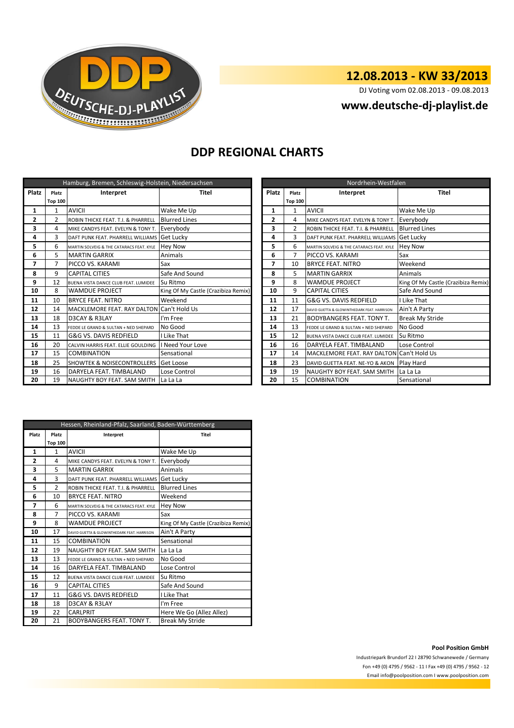

DJ Voting vom 02.08.2013 - 09.08.2013

#### **www.deutsche-dj-playlist.de**

#### **DDP REGIONAL CHARTS**

|                          | Hamburg, Bremen, Schleswig-Holstein, Niedersachsen |                                             |                                     |  |                | Nordrhein-Westfalen |                                             |                        |  |  |  |  |
|--------------------------|----------------------------------------------------|---------------------------------------------|-------------------------------------|--|----------------|---------------------|---------------------------------------------|------------------------|--|--|--|--|
| <b>Platz</b>             | Platz                                              | Interpret                                   | Titel                               |  | <b>Platz</b>   | Platz               | Interpret                                   | <b>Titel</b>           |  |  |  |  |
|                          | <b>Top 100</b>                                     |                                             |                                     |  |                | <b>Top 100</b>      |                                             |                        |  |  |  |  |
| 1                        | 1                                                  | <b>AVICII</b>                               | Wake Me Up                          |  | 1              | 1                   | <b>AVICII</b>                               | Wake Me Up             |  |  |  |  |
| $\overline{2}$           | $\overline{2}$                                     | ROBIN THICKE FEAT. T.I. & PHARRELL          | <b>Blurred Lines</b>                |  | $\overline{2}$ | 4                   | MIKE CANDYS FEAT. EVELYN & TONY T.          | Everybody              |  |  |  |  |
| 3                        | 4                                                  | MIKE CANDYS FEAT. EVELYN & TONY T.          | Everybody                           |  | 3              | 2                   | ROBIN THICKE FEAT. T.I. & PHARRELL          | <b>Blurred Lines</b>   |  |  |  |  |
| 4                        | 3                                                  | DAFT PUNK FEAT. PHARRELL WILLIAMS Get Lucky |                                     |  | 4              | 3                   | DAFT PUNK FEAT. PHARRELL WILLIAMS Get Lucky |                        |  |  |  |  |
| 5                        | 6                                                  | MARTIN SOLVEIG & THE CATARACS FEAT. KYLE    | <b>Hey Now</b>                      |  | 5              | 6                   | MARTIN SOLVEIG & THE CATARACS FEAT. KYLE    | <b>Hey Now</b>         |  |  |  |  |
| 6                        | 5.                                                 | <b>MARTIN GARRIX</b>                        | Animals                             |  | 6              | 7                   | PICCO VS. KARAMI                            | Sax                    |  |  |  |  |
| $\overline{\phantom{a}}$ | 7                                                  | PICCO VS. KARAMI                            | Sax                                 |  | 7              | 10                  | <b>BRYCE FEAT. NITRO</b>                    | Weekend                |  |  |  |  |
| 8                        | 9                                                  | <b>CAPITAL CITIES</b>                       | Safe And Sound                      |  | 8              | 5                   | <b>MARTIN GARRIX</b>                        | Animals                |  |  |  |  |
| 9                        | 12                                                 | BUENA VISTA DANCE CLUB FEAT. LUMIDEE        | Su Ritmo                            |  | 9              | 8                   | <b>WAMDUE PROJECT</b>                       | King Of My Castle (C   |  |  |  |  |
| 10                       | 8                                                  | <b>WAMDUE PROJECT</b>                       | King Of My Castle (Crazibiza Remix) |  | 10             | 9                   | <b>CAPITAL CITIES</b>                       | Safe And Sound         |  |  |  |  |
| 11                       | 10                                                 | <b>BRYCE FEAT. NITRO</b>                    | Weekend                             |  | 11             | 11                  | G&G VS. DAVIS REDFIELD                      | I Like That            |  |  |  |  |
| 12                       | 14                                                 | MACKLEMORE FEAT. RAY DALTON Can't Hold Us   |                                     |  | 12             | 17                  | DAVID GUETTA & GLOWINTHEDARK FEAT, HARRISON | Ain't A Party          |  |  |  |  |
| 13                       | 18                                                 | D3CAY & R3LAY                               | I'm Free                            |  | 13             | 21                  | <b>BODYBANGERS FEAT. TONY T.</b>            | <b>Break My Stride</b> |  |  |  |  |
| 14                       | 13                                                 | FEDDE LE GRAND & SULTAN + NED SHEPARD       | No Good                             |  | 14             | 13                  | FEDDE LE GRAND & SULTAN + NED SHEPARD       | No Good                |  |  |  |  |
| 15                       | 11                                                 | G&G VS. DAVIS REDFIELD                      | I Like That                         |  | 15             | 12                  | BUENA VISTA DANCE CLUB FEAT. LUMIDEE        | Su Ritmo               |  |  |  |  |
| 16                       | 20                                                 | CALVIN HARRIS FEAT. ELLIE GOULDING          | <b>I</b> Need Your Love             |  | 16             | 16                  | DARYELA FEAT. TIMBALAND                     | Lose Control           |  |  |  |  |
| 17                       | 15                                                 | <b>COMBINATION</b>                          | Sensational                         |  | 17             | 14                  | MACKLEMORE FEAT. RAY DALTON Can't Hold Us   |                        |  |  |  |  |
| 18                       | 25                                                 | <b>SHOWTEK &amp; NOISECONTROLLERS</b>       | <b>Get Loose</b>                    |  | 18             | 23                  | DAVID GUETTA FEAT. NE-YO & AKON             | Play Hard              |  |  |  |  |
| 19                       | 16                                                 | DARYELA FEAT. TIMBALAND                     | Lose Control                        |  | 19             | 19                  | NAUGHTY BOY FEAT. SAM SMITH                 | La La La               |  |  |  |  |
| 20                       | 19                                                 | NAUGHTY BOY FEAT. SAM SMITH                 | La La La                            |  | 20             | 15                  | <b>COMBINATION</b>                          | Sensational            |  |  |  |  |

|     |                | Hamburg, Bremen, Schleswig-Holstein, Niedersachsen |                                     | Nordrhein-Westfalen |                |                                             |                                     |  |  |  |  |
|-----|----------------|----------------------------------------------------|-------------------------------------|---------------------|----------------|---------------------------------------------|-------------------------------------|--|--|--|--|
| atz | Platz          | Interpret                                          | <b>Titel</b>                        | Platz               | Platz          | Interpret                                   | <b>Titel</b>                        |  |  |  |  |
|     | <b>Top 100</b> |                                                    |                                     |                     | <b>Top 100</b> |                                             |                                     |  |  |  |  |
| 1   |                | <b>AVICII</b>                                      | Wake Me Up                          | 1                   |                | <b>AVICII</b>                               | Wake Me Up                          |  |  |  |  |
| 2   | $\overline{2}$ | ROBIN THICKE FEAT. T.I. & PHARRELL                 | <b>Blurred Lines</b>                | $\overline{2}$      | 4              | MIKE CANDYS FEAT. EVELYN & TONY T.          | Everybody                           |  |  |  |  |
| 3   | 4              | MIKE CANDYS FEAT. EVELYN & TONY T.                 | Everybody                           | 3                   | $\mathcal{P}$  | ROBIN THICKE FEAT. T.I. & PHARRELL          | <b>Blurred Lines</b>                |  |  |  |  |
| 4   | 3              | DAFT PUNK FEAT. PHARRELL WILLIAMS Get Lucky        |                                     | 4                   | 3              | DAFT PUNK FEAT. PHARRELL WILLIAMS Get Lucky |                                     |  |  |  |  |
| 5   | 6              | MARTIN SOLVEIG & THE CATARACS FEAT. KYLE           | <b>Hev Now</b>                      | 5                   | 6              | MARTIN SOLVEIG & THE CATARACS FEAT. KYLE    | <b>Hev Now</b>                      |  |  |  |  |
| 6   | 5              | <b>MARTIN GARRIX</b>                               | Animals                             | 6                   |                | PICCO VS. KARAMI                            | Sax                                 |  |  |  |  |
| 7   | 7              | PICCO VS. KARAMI                                   | Sax                                 | 7                   | 10             | <b>BRYCE FEAT. NITRO</b>                    | Weekend                             |  |  |  |  |
| 8   | 9              | <b>CAPITAL CITIES</b>                              | Safe And Sound                      | 8                   | 5              | <b>MARTIN GARRIX</b>                        | Animals                             |  |  |  |  |
| g   | 12             | BUENA VISTA DANCE CLUB FEAT. LUMIDEE               | Su Ritmo                            | 9                   | 8              | <b>WAMDUE PROJECT</b>                       | King Of My Castle (Crazibiza Remix) |  |  |  |  |
| LO. | 8              | <b>WAMDUE PROJECT</b>                              | King Of My Castle (Crazibiza Remix) | 10                  | 9              | <b>CAPITAL CITIES</b>                       | Safe And Sound                      |  |  |  |  |
| 11  | 10             | <b>BRYCE FEAT, NITRO</b>                           | Weekend                             | 11                  | 11             | <b>G&amp;G VS. DAVIS REDFIELD</b>           | I Like That                         |  |  |  |  |
| 12  | 14             | MACKLEMORE FEAT. RAY DALTON Can't Hold Us          |                                     | 12                  | 17             | DAVID GUETTA & GLOWINTHEDARK FEAT, HARRISON | Ain't A Party                       |  |  |  |  |
| l3  | 18             | D3CAY & R3LAY                                      | I'm Free                            | 13                  | 21             | <b>BODYBANGERS FEAT, TONY T.</b>            | <b>Break My Stride</b>              |  |  |  |  |
| 14  | 13             | FEDDE LE GRAND & SULTAN + NED SHEPARD              | No Good                             | 14                  | 13             | FEDDE LE GRAND & SULTAN + NED SHEPARD       | No Good                             |  |  |  |  |
| 15  | 11             | <b>G&amp;G VS. DAVIS REDFIELD</b>                  | I Like That                         | 15                  | 12             | BUENA VISTA DANCE CLUB FEAT. LUMIDEE        | Su Ritmo                            |  |  |  |  |
| 16  | 20             | CALVIN HARRIS FEAT. ELLIE GOULDING                 | I Need Your Love                    | 16                  | 16             | DARYELA FEAT. TIMBALAND                     | Lose Control                        |  |  |  |  |
| 17  | 15             | <b>COMBINATION</b>                                 | Sensational                         | 17                  | 14             | MACKLEMORE FEAT. RAY DALTON Can't Hold Us   |                                     |  |  |  |  |
| L8  | 25             | <b>ISHOWTEK &amp; NOISECONTROLLERS</b>             | Get Loose                           | 18                  | 23             | DAVID GUETTA FEAT. NE-YO & AKON             | Play Hard                           |  |  |  |  |
| ۱9  | 16             | DARYELA FEAT. TIMBALAND                            | Lose Control                        | 19                  | 19             | NAUGHTY BOY FEAT. SAM SMITH                 | La La La                            |  |  |  |  |
| 20  | 19             | NAUGHTY BOY FEAT. SAM SMITH                        | La La La                            | 20                  | 15             | <b>COMBINATION</b>                          | Sensational                         |  |  |  |  |

|       | Hessen, Rheinland-Pfalz, Saarland, Baden-Württemberg |                                             |                                     |  |  |  |  |  |  |
|-------|------------------------------------------------------|---------------------------------------------|-------------------------------------|--|--|--|--|--|--|
| Platz | Platz                                                | Interpret                                   | Titel                               |  |  |  |  |  |  |
|       | <b>Top 100</b>                                       |                                             |                                     |  |  |  |  |  |  |
| 1     | 1                                                    | <b>AVICII</b>                               | Wake Me Up                          |  |  |  |  |  |  |
| 2     | 4                                                    | MIKE CANDYS FEAT. EVELYN & TONY T.          | Everybody                           |  |  |  |  |  |  |
| 3     | 5                                                    | <b>MARTIN GARRIX</b>                        | Animals                             |  |  |  |  |  |  |
| 4     | 3                                                    | DAFT PUNK FEAT. PHARRELL WILLIAMS           | Get Lucky                           |  |  |  |  |  |  |
| 5     | $\overline{2}$                                       | ROBIN THICKE FEAT. T.I. & PHARRELL          | <b>Blurred Lines</b>                |  |  |  |  |  |  |
| 6     | 10                                                   | <b>BRYCE FEAT, NITRO</b>                    | Weekend                             |  |  |  |  |  |  |
| 7     | 6                                                    | MARTIN SOLVEIG & THE CATARACS FEAT. KYLE    | <b>Hey Now</b>                      |  |  |  |  |  |  |
| 8     | 7                                                    | PICCO VS. KARAMI                            | Sax                                 |  |  |  |  |  |  |
| 9     | 8                                                    | <b>WAMDUE PROJECT</b>                       | King Of My Castle (Crazibiza Remix) |  |  |  |  |  |  |
| 10    | 17                                                   | DAVID GUETTA & GLOWINTHEDARK FEAT, HARRISON | Ain't A Party                       |  |  |  |  |  |  |
| 11    | 15                                                   | <b>COMBINATION</b>                          | Sensational                         |  |  |  |  |  |  |
| 12    | 19                                                   | NAUGHTY BOY FEAT. SAM SMITH                 | La La La                            |  |  |  |  |  |  |
| 13    | 13                                                   | FEDDE LE GRAND & SULTAN + NED SHEPARD       | No Good                             |  |  |  |  |  |  |
| 14    | 16                                                   | DARYELA FEAT. TIMBALAND                     | Lose Control                        |  |  |  |  |  |  |
| 15    | 12                                                   | BUENA VISTA DANCE CLUB FEAT. LUMIDEE        | Su Ritmo                            |  |  |  |  |  |  |
| 16    | 9                                                    | <b>CAPITAL CITIES</b>                       | Safe And Sound                      |  |  |  |  |  |  |
| 17    | 11                                                   | <b>G&amp;G VS. DAVIS REDFIELD</b>           | I Like That                         |  |  |  |  |  |  |
| 18    | 18                                                   | D3CAY & R3LAY                               | I'm Free                            |  |  |  |  |  |  |
| 19    | 22                                                   | CARLPRIT                                    | Here We Go (Allez Allez)            |  |  |  |  |  |  |
| 20    | 21                                                   | BODYBANGERS FEAT. TONY T.                   | <b>Break My Stride</b>              |  |  |  |  |  |  |

**Pool Position GmbH**

Industriepark Brundorf 22 I 28790 Schwanewede / Germany Fon +49 (0) 4795 / 9562 - 11 I Fax +49 (0) 4795 / 9562 - 12 Email info@poolposition.com I www.poolposition.com